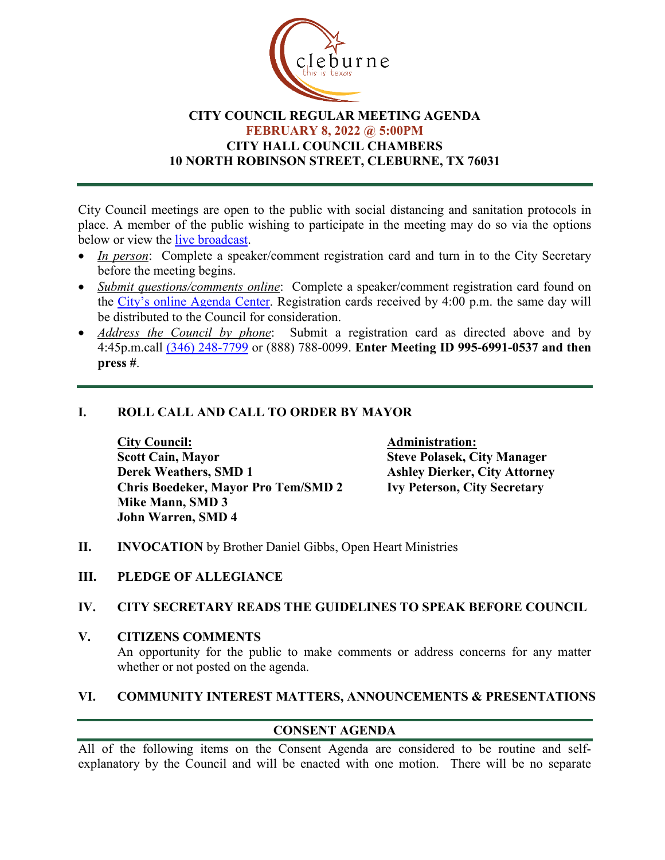

## **CITY COUNCIL REGULAR MEETING AGENDA FEBRUARY 8, 2022 @ 5:00PM CITY HALL COUNCIL CHAMBERS 10 NORTH ROBINSON STREET, CLEBURNE, TX 76031**

City Council meetings are open to the public with social distancing and sanitation protocols in place. A member of the public wishing to participate in the meeting may do so via the options below or view the [live broadcast.](http://www.cleburne.net/925/Cleburne-Live)

- *In person*: Complete a speaker/comment registration card and turn in to the City Secretary before the meeting begins.
- *Submit questions/comments online*: Complete a speaker/comment registration card found on the [City's online Agenda Center.](https://www.cleburne.net/agendacenter) Registration cards received by 4:00 p.m. the same day will be distributed to the Council for consideration.
- *Address the Council by phone*: Submit a registration card as directed above and by 4:45p.m.call [\(346\) 248-7799](tel:+13127573117,,477307821) or (888) 788-0099. **Enter Meeting ID 995-6991-0537 and then press #**.

# **I. ROLL CALL AND CALL TO ORDER BY MAYOR**

**City Council: Administration: Scott Cain, Mayor Steve Polasek, City Manager Derek Weathers, SMD 1 Ashley Dierker, City Attorney Chris Boedeker, Mayor Pro Tem/SMD 2 Ivy Peterson, City Secretary Mike Mann, SMD 3 John Warren, SMD 4**

- **II. INVOCATION** by Brother Daniel Gibbs, Open Heart Ministries
- **III. PLEDGE OF ALLEGIANCE**

#### **IV. CITY SECRETARY READS THE GUIDELINES TO SPEAK BEFORE COUNCIL**

**V. CITIZENS COMMENTS** An opportunity for the public to make comments or address concerns for any matter whether or not posted on the agenda.

#### **VI. COMMUNITY INTEREST MATTERS, ANNOUNCEMENTS & PRESENTATIONS**

# **CONSENT AGENDA**

All of the following items on the Consent Agenda are considered to be routine and selfexplanatory by the Council and will be enacted with one motion. There will be no separate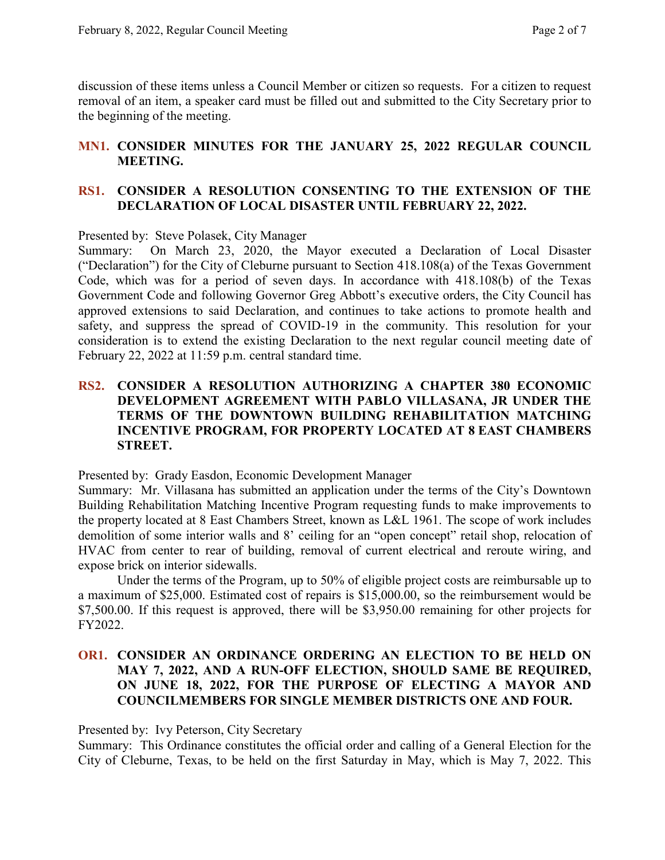discussion of these items unless a Council Member or citizen so requests. For a citizen to request removal of an item, a speaker card must be filled out and submitted to the City Secretary prior to the beginning of the meeting.

## **MN1. CONSIDER MINUTES FOR THE JANUARY 25, 2022 REGULAR COUNCIL MEETING.**

## **RS1. CONSIDER A RESOLUTION CONSENTING TO THE EXTENSION OF THE DECLARATION OF LOCAL DISASTER UNTIL FEBRUARY 22, 2022.**

Presented by: Steve Polasek, City Manager

Summary: On March 23, 2020, the Mayor executed a Declaration of Local Disaster ("Declaration") for the City of Cleburne pursuant to Section 418.108(a) of the Texas Government Code, which was for a period of seven days. In accordance with 418.108(b) of the Texas Government Code and following Governor Greg Abbott's executive orders, the City Council has approved extensions to said Declaration, and continues to take actions to promote health and safety, and suppress the spread of COVID-19 in the community. This resolution for your consideration is to extend the existing Declaration to the next regular council meeting date of February 22, 2022 at 11:59 p.m. central standard time.

## **RS2. CONSIDER A RESOLUTION AUTHORIZING A CHAPTER 380 ECONOMIC DEVELOPMENT AGREEMENT WITH PABLO VILLASANA, JR UNDER THE TERMS OF THE DOWNTOWN BUILDING REHABILITATION MATCHING INCENTIVE PROGRAM, FOR PROPERTY LOCATED AT 8 EAST CHAMBERS STREET.**

Presented by: Grady Easdon, Economic Development Manager

Summary: Mr. Villasana has submitted an application under the terms of the City's Downtown Building Rehabilitation Matching Incentive Program requesting funds to make improvements to the property located at 8 East Chambers Street, known as L&L 1961. The scope of work includes demolition of some interior walls and 8' ceiling for an "open concept" retail shop, relocation of HVAC from center to rear of building, removal of current electrical and reroute wiring, and expose brick on interior sidewalls.

Under the terms of the Program, up to 50% of eligible project costs are reimbursable up to a maximum of \$25,000. Estimated cost of repairs is \$15,000.00, so the reimbursement would be \$7,500.00. If this request is approved, there will be \$3,950.00 remaining for other projects for FY2022.

## **OR1. CONSIDER AN ORDINANCE ORDERING AN ELECTION TO BE HELD ON MAY 7, 2022, AND A RUN-OFF ELECTION, SHOULD SAME BE REQUIRED, ON JUNE 18, 2022, FOR THE PURPOSE OF ELECTING A MAYOR AND COUNCILMEMBERS FOR SINGLE MEMBER DISTRICTS ONE AND FOUR.**

Presented by: Ivy Peterson, City Secretary

Summary: This Ordinance constitutes the official order and calling of a General Election for the City of Cleburne, Texas, to be held on the first Saturday in May, which is May 7, 2022. This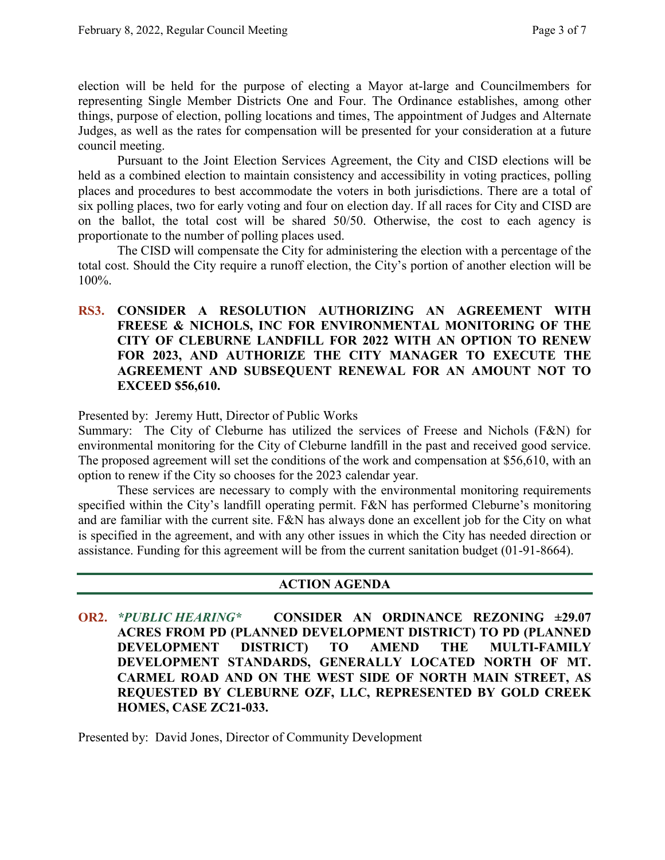election will be held for the purpose of electing a Mayor at-large and Councilmembers for representing Single Member Districts One and Four. The Ordinance establishes, among other things, purpose of election, polling locations and times, The appointment of Judges and Alternate Judges, as well as the rates for compensation will be presented for your consideration at a future council meeting.

Pursuant to the Joint Election Services Agreement, the City and CISD elections will be held as a combined election to maintain consistency and accessibility in voting practices, polling places and procedures to best accommodate the voters in both jurisdictions. There are a total of six polling places, two for early voting and four on election day. If all races for City and CISD are on the ballot, the total cost will be shared 50/50. Otherwise, the cost to each agency is proportionate to the number of polling places used.

The CISD will compensate the City for administering the election with a percentage of the total cost. Should the City require a runoff election, the City's portion of another election will be 100%.

**RS3. CONSIDER A RESOLUTION AUTHORIZING AN AGREEMENT WITH FREESE & NICHOLS, INC FOR ENVIRONMENTAL MONITORING OF THE CITY OF CLEBURNE LANDFILL FOR 2022 WITH AN OPTION TO RENEW FOR 2023, AND AUTHORIZE THE CITY MANAGER TO EXECUTE THE AGREEMENT AND SUBSEQUENT RENEWAL FOR AN AMOUNT NOT TO EXCEED \$56,610.**

Presented by: Jeremy Hutt, Director of Public Works

Summary: The City of Cleburne has utilized the services of Freese and Nichols (F&N) for environmental monitoring for the City of Cleburne landfill in the past and received good service. The proposed agreement will set the conditions of the work and compensation at \$56,610, with an option to renew if the City so chooses for the 2023 calendar year.

These services are necessary to comply with the environmental monitoring requirements specified within the City's landfill operating permit. F&N has performed Cleburne's monitoring and are familiar with the current site. F&N has always done an excellent job for the City on what is specified in the agreement, and with any other issues in which the City has needed direction or assistance. Funding for this agreement will be from the current sanitation budget (01-91-8664).

#### **ACTION AGENDA**

**OR2.** *\*PUBLIC HEARING\** **CONSIDER AN ORDINANCE REZONING ±29.07 ACRES FROM PD (PLANNED DEVELOPMENT DISTRICT) TO PD (PLANNED DEVELOPMENT DISTRICT) TO AMEND THE MULTI-FAMILY DEVELOPMENT STANDARDS, GENERALLY LOCATED NORTH OF MT. CARMEL ROAD AND ON THE WEST SIDE OF NORTH MAIN STREET, AS REQUESTED BY CLEBURNE OZF, LLC, REPRESENTED BY GOLD CREEK HOMES, CASE ZC21-033.**

Presented by: David Jones, Director of Community Development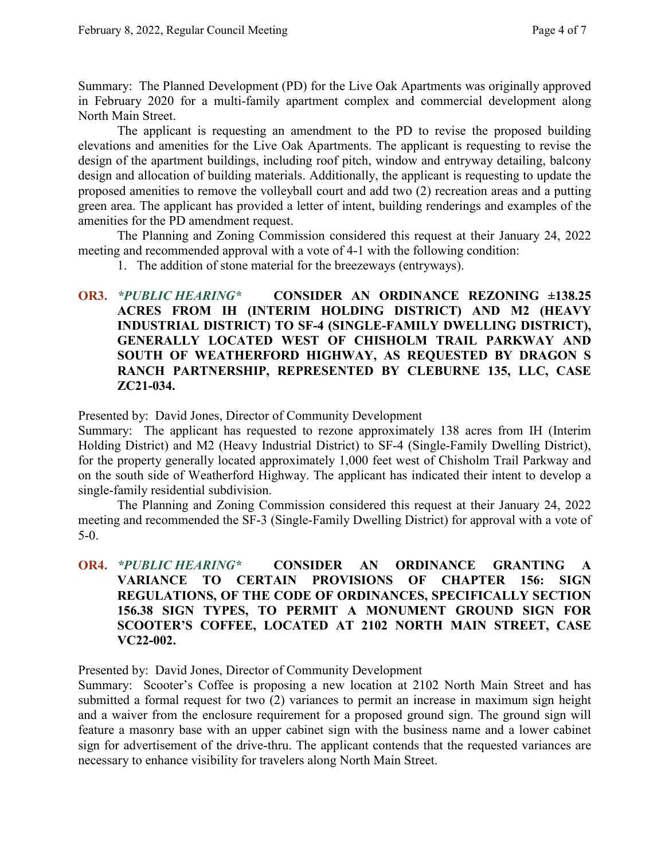Summary: The Planned Development (PD) for the Live Oak Apartments was originally approved in February 2020 for a multi-family apartment complex and commercial development along North Main Street.

The applicant is requesting an amendment to the PD to revise the proposed building elevations and amenities for the Live Oak Apartments. The applicant is requesting to revise the design of the apartment buildings, including roof pitch, window and entryway detailing, balcony design and allocation of building materials. Additionally, the applicant is requesting to update the proposed amenities to remove the volleyball court and add two (2) recreation areas and a putting green area. The applicant has provided a letter of intent, building renderings and examples of the amenities for the PD amendment request.

The Planning and Zoning Commission considered this request at their January 24, 2022 meeting and recommended approval with a vote of 4-1 with the following condition:

1. The addition of stone material for the breezeways (entryways).

# **OR3.** *\*PUBLIC HEARING\** **CONSIDER AN ORDINANCE REZONING ±138.25 ACRES FROM IH (INTERIM HOLDING DISTRICT) AND M2 (HEAVY INDUSTRIAL DISTRICT) TO SF-4 (SINGLE-FAMILY DWELLING DISTRICT), GENERALLY LOCATED WEST OF CHISHOLM TRAIL PARKWAY AND SOUTH OF WEATHERFORD HIGHWAY, AS REQUESTED BY DRAGON S RANCH PARTNERSHIP, REPRESENTED BY CLEBURNE 135, LLC, CASE ZC21-034.**

Presented by: David Jones, Director of Community Development

Summary: The applicant has requested to rezone approximately 138 acres from IH (Interim Holding District) and M2 (Heavy Industrial District) to SF-4 (Single-Family Dwelling District), for the property generally located approximately 1,000 feet west of Chisholm Trail Parkway and on the south side of Weatherford Highway. The applicant has indicated their intent to develop a single-family residential subdivision.

The Planning and Zoning Commission considered this request at their January 24, 2022 meeting and recommended the SF-3 (Single-Family Dwelling District) for approval with a vote of 5-0.

# **OR4.** *\*PUBLIC HEARING\** **CONSIDER AN ORDINANCE GRANTING A VARIANCE TO CERTAIN PROVISIONS OF CHAPTER 156: SIGN REGULATIONS, OF THE CODE OF ORDINANCES, SPECIFICALLY SECTION 156.38 SIGN TYPES, TO PERMIT A MONUMENT GROUND SIGN FOR SCOOTER'S COFFEE, LOCATED AT 2102 NORTH MAIN STREET, CASE VC22-002.**

Presented by: David Jones, Director of Community Development

Summary: Scooter's Coffee is proposing a new location at 2102 North Main Street and has submitted a formal request for two (2) variances to permit an increase in maximum sign height and a waiver from the enclosure requirement for a proposed ground sign. The ground sign will feature a masonry base with an upper cabinet sign with the business name and a lower cabinet sign for advertisement of the drive-thru. The applicant contends that the requested variances are necessary to enhance visibility for travelers along North Main Street.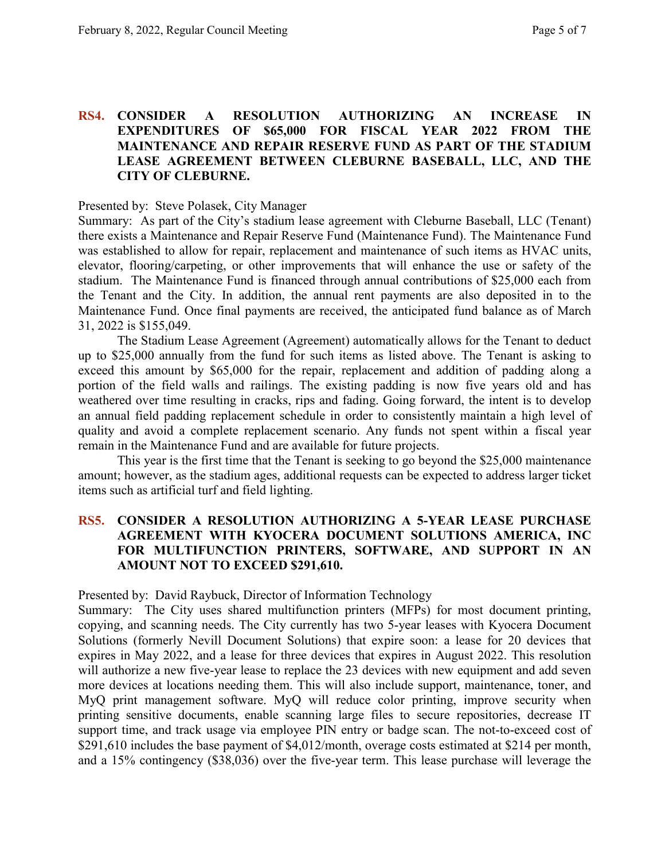### **RS4. CONSIDER A RESOLUTION AUTHORIZING AN INCREASE IN EXPENDITURES OF \$65,000 FOR FISCAL YEAR 2022 FROM THE MAINTENANCE AND REPAIR RESERVE FUND AS PART OF THE STADIUM LEASE AGREEMENT BETWEEN CLEBURNE BASEBALL, LLC, AND THE CITY OF CLEBURNE.**

Presented by: Steve Polasek, City Manager

Summary: As part of the City's stadium lease agreement with Cleburne Baseball, LLC (Tenant) there exists a Maintenance and Repair Reserve Fund (Maintenance Fund). The Maintenance Fund was established to allow for repair, replacement and maintenance of such items as HVAC units, elevator, flooring/carpeting, or other improvements that will enhance the use or safety of the stadium. The Maintenance Fund is financed through annual contributions of \$25,000 each from the Tenant and the City. In addition, the annual rent payments are also deposited in to the Maintenance Fund. Once final payments are received, the anticipated fund balance as of March 31, 2022 is \$155,049.

The Stadium Lease Agreement (Agreement) automatically allows for the Tenant to deduct up to \$25,000 annually from the fund for such items as listed above. The Tenant is asking to exceed this amount by \$65,000 for the repair, replacement and addition of padding along a portion of the field walls and railings. The existing padding is now five years old and has weathered over time resulting in cracks, rips and fading. Going forward, the intent is to develop an annual field padding replacement schedule in order to consistently maintain a high level of quality and avoid a complete replacement scenario. Any funds not spent within a fiscal year remain in the Maintenance Fund and are available for future projects.

This year is the first time that the Tenant is seeking to go beyond the \$25,000 maintenance amount; however, as the stadium ages, additional requests can be expected to address larger ticket items such as artificial turf and field lighting.

## **RS5. CONSIDER A RESOLUTION AUTHORIZING A 5-YEAR LEASE PURCHASE AGREEMENT WITH KYOCERA DOCUMENT SOLUTIONS AMERICA, INC FOR MULTIFUNCTION PRINTERS, SOFTWARE, AND SUPPORT IN AN AMOUNT NOT TO EXCEED \$291,610.**

Presented by: David Raybuck, Director of Information Technology

Summary: The City uses shared multifunction printers (MFPs) for most document printing, copying, and scanning needs. The City currently has two 5-year leases with Kyocera Document Solutions (formerly Nevill Document Solutions) that expire soon: a lease for 20 devices that expires in May 2022, and a lease for three devices that expires in August 2022. This resolution will authorize a new five-year lease to replace the 23 devices with new equipment and add seven more devices at locations needing them. This will also include support, maintenance, toner, and MyQ print management software. MyQ will reduce color printing, improve security when printing sensitive documents, enable scanning large files to secure repositories, decrease IT support time, and track usage via employee PIN entry or badge scan. The not-to-exceed cost of \$291,610 includes the base payment of \$4,012/month, overage costs estimated at \$214 per month, and a 15% contingency (\$38,036) over the five-year term. This lease purchase will leverage the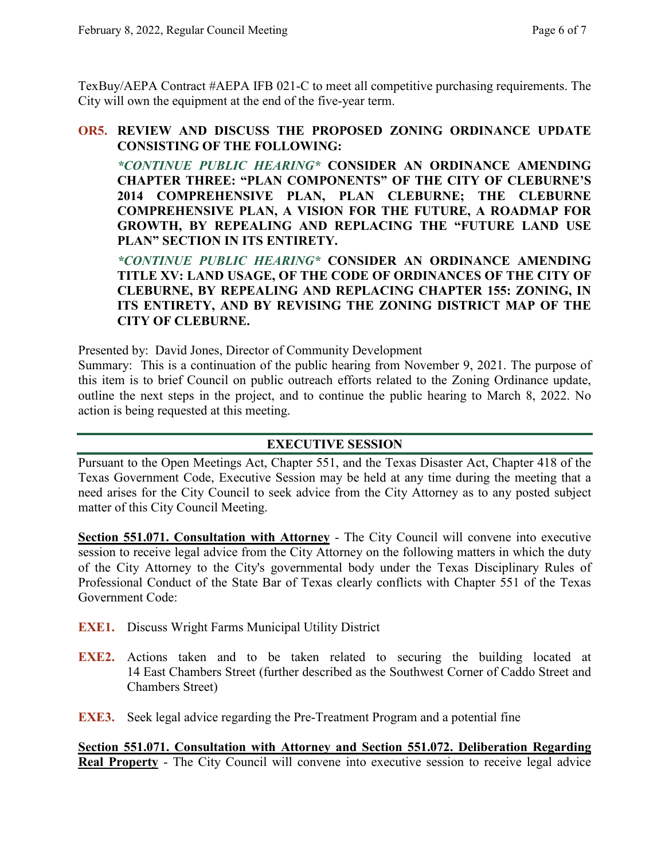TexBuy/AEPA Contract #AEPA IFB 021-C to meet all competitive purchasing requirements. The City will own the equipment at the end of the five-year term.

### **OR5. REVIEW AND DISCUSS THE PROPOSED ZONING ORDINANCE UPDATE CONSISTING OF THE FOLLOWING:**

*\*CONTINUE PUBLIC HEARING\** **CONSIDER AN ORDINANCE AMENDING CHAPTER THREE: "PLAN COMPONENTS" OF THE CITY OF CLEBURNE'S 2014 COMPREHENSIVE PLAN, PLAN CLEBURNE; THE CLEBURNE COMPREHENSIVE PLAN, A VISION FOR THE FUTURE, A ROADMAP FOR GROWTH, BY REPEALING AND REPLACING THE "FUTURE LAND USE PLAN" SECTION IN ITS ENTIRETY.**

*\*CONTINUE PUBLIC HEARING\** **CONSIDER AN ORDINANCE AMENDING TITLE XV: LAND USAGE, OF THE CODE OF ORDINANCES OF THE CITY OF CLEBURNE, BY REPEALING AND REPLACING CHAPTER 155: ZONING, IN ITS ENTIRETY, AND BY REVISING THE ZONING DISTRICT MAP OF THE CITY OF CLEBURNE.**

Presented by: David Jones, Director of Community Development

Summary: This is a continuation of the public hearing from November 9, 2021. The purpose of this item is to brief Council on public outreach efforts related to the Zoning Ordinance update, outline the next steps in the project, and to continue the public hearing to March 8, 2022. No action is being requested at this meeting.

# **EXECUTIVE SESSION**

Pursuant to the Open Meetings Act, Chapter 551, and the Texas Disaster Act, Chapter 418 of the Texas Government Code, Executive Session may be held at any time during the meeting that a need arises for the City Council to seek advice from the City Attorney as to any posted subject matter of this City Council Meeting.

**Section 551.071. Consultation with Attorney** - The City Council will convene into executive session to receive legal advice from the City Attorney on the following matters in which the duty of the City Attorney to the City's governmental body under the Texas Disciplinary Rules of Professional Conduct of the State Bar of Texas clearly conflicts with Chapter 551 of the Texas Government Code:

- **EXE1.** Discuss Wright Farms Municipal Utility District
- **EXE2.** Actions taken and to be taken related to securing the building located at 14 East Chambers Street (further described as the Southwest Corner of Caddo Street and Chambers Street)

**EXE3.** Seek legal advice regarding the Pre-Treatment Program and a potential fine

**Section 551.071. Consultation with Attorney and Section 551.072. Deliberation Regarding Real Property** - The City Council will convene into executive session to receive legal advice